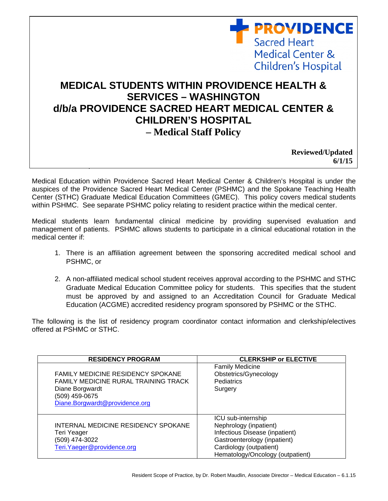## **MEDICAL STUDENTS WITHIN PROVIDENCE HEALTH & SERVICES – WASHINGTON d/b/a PROVIDENCE SACRED HEART MEDICAL CENTER & CHILDREN'S HOSPITAL – Medical Staff Policy**

 **Reviewed/Updated 6/1/15** 

**PROVIDENCE** 

Medical Center &

Children's Hospital

**Sacred Heart** 

Medical Education within Providence Sacred Heart Medical Center & Children's Hospital is under the auspices of the Providence Sacred Heart Medical Center (PSHMC) and the Spokane Teaching Health Center (STHC) Graduate Medical Education Committees (GMEC). This policy covers medical students within PSHMC. See separate PSHMC policy relating to resident practice within the medical center.

**Effective Date**: April 2009

Medical students learn fundamental clinical medicine by providing supervised evaluation and management of patients. PSHMC allows students to participate in a clinical educational rotation in the medical center if:

- 1. There is an affiliation agreement between the sponsoring accredited medical school and PSHMC, or
- 2. A non-affiliated medical school student receives approval according to the PSHMC and STHC Graduate Medical Education Committee policy for students. This specifies that the student must be approved by and assigned to an Accreditation Council for Graduate Medical Education (ACGME) accredited residency program sponsored by PSHMC or the STHC.

The following is the list of residency program coordinator contact information and clerkship/electives offered at PSHMC or STHC.

| <b>RESIDENCY PROGRAM</b>                                                                                                                                       | <b>CLERKSHIP or ELECTIVE</b>                                                                                                                                                  |
|----------------------------------------------------------------------------------------------------------------------------------------------------------------|-------------------------------------------------------------------------------------------------------------------------------------------------------------------------------|
| <b>FAMILY MEDICINE RESIDENCY SPOKANE</b><br><b>FAMILY MEDICINE RURAL TRAINING TRACK</b><br>Diane Borgwardt<br>(509) 459-0675<br>Diane.Borgwardt@providence.org | <b>Family Medicine</b><br>Obstetrics/Gynecology<br><b>Pediatrics</b><br>Surgery                                                                                               |
| INTERNAL MEDICINE RESIDENCY SPOKANE<br>Teri Yeager<br>(509) 474-3022<br>Teri. Yaeger@providence.org                                                            | ICU sub-internship<br>Nephrology (inpatient)<br>Infectious Disease (inpatient)<br>Gastroenterology (inpatient)<br>Cardiology (outpatient)<br>Hematology/Oncology (outpatient) |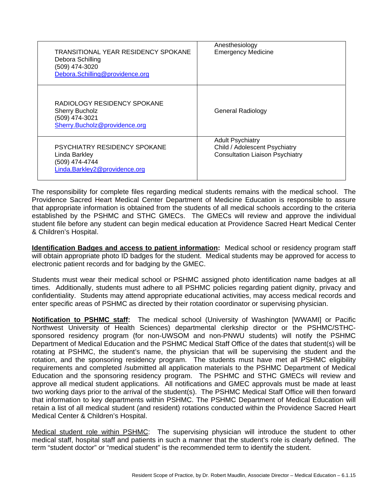| TRANSITIONAL YEAR RESIDENCY SPOKANE<br>Debora Schilling<br>(509) 474-3020<br>Debora.Schilling@providence.org | Anesthesiology<br><b>Emergency Medicine</b>                                                        |
|--------------------------------------------------------------------------------------------------------------|----------------------------------------------------------------------------------------------------|
| RADIOLOGY RESIDENCY SPOKANE<br><b>Sherry Bucholz</b><br>(509) 474-3021<br>Sherry.Bucholz@providence.org      | <b>General Radiology</b>                                                                           |
| <b>PSYCHIATRY RESIDENCY SPOKANE</b><br>Linda Barkley<br>(509) 474-4744<br>Linda.Barkley2@providence.org      | <b>Adult Psychiatry</b><br>Child / Adolescent Psychiatry<br><b>Consultation Liaison Psychiatry</b> |

The responsibility for complete files regarding medical students remains with the medical school. The Providence Sacred Heart Medical Center Department of Medicine Education is responsible to assure that appropriate information is obtained from the students of all medical schools according to the criteria established by the PSHMC and STHC GMECs. The GMECs will review and approve the individual student file before any student can begin medical education at Providence Sacred Heart Medical Center & Children's Hospital.

**Identification Badges and access to patient information:** Medical school or residency program staff will obtain appropriate photo ID badges for the student. Medical students may be approved for access to electronic patient records and for badging by the GMEC.

Students must wear their medical school or PSHMC assigned photo identification name badges at all times. Additionally, students must adhere to all PSHMC policies regarding patient dignity, privacy and confidentiality. Students may attend appropriate educational activities, may access medical records and enter specific areas of PSHMC as directed by their rotation coordinator or supervising physician.

**Notification to PSHMC staff:** The medical school (University of Washington [WWAMI] or Pacific Northwest University of Health Sciences) departmental clerkship director or the PSHMC/STHCsponsored residency program (for non-UWSOM and non-PNWU students) will notify the PSHMC Department of Medical Education and the PSHMC Medical Staff Office of the dates that student(s) will be rotating at PSHMC, the student's name, the physician that will be supervising the student and the rotation, and the sponsoring residency program. The students must have met all PSHMC eligibility requirements and completed /submitted all application materials to the PSHMC Department of Medical Education and the sponsoring residency program. The PSHMC and STHC GMECs will review and approve all medical student applications. All notifications and GMEC approvals must be made at least two working days prior to the arrival of the student(s). The PSHMC Medical Staff Office will then forward that information to key departments within PSHMC. The PSHMC Department of Medical Education will retain a list of all medical student (and resident) rotations conducted within the Providence Sacred Heart Medical Center & Children's Hospital.

Medical student role within PSHMC: The supervising physician will introduce the student to other medical staff, hospital staff and patients in such a manner that the student's role is clearly defined. The term "student doctor" or "medical student" is the recommended term to identify the student.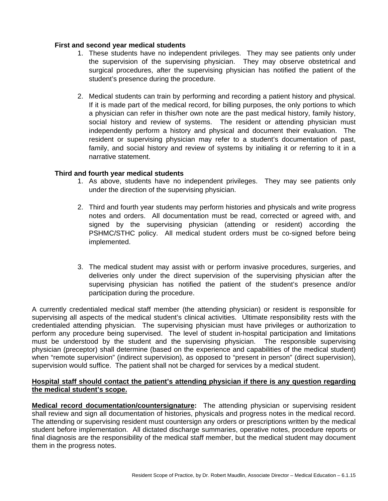## **First and second year medical students**

- 1. These students have no independent privileges. They may see patients only under the supervision of the supervising physician. They may observe obstetrical and surgical procedures, after the supervising physician has notified the patient of the student's presence during the procedure.
- 2. Medical students can train by performing and recording a patient history and physical. If it is made part of the medical record, for billing purposes, the only portions to which a physician can refer in this/her own note are the past medical history, family history, social history and review of systems. The resident or attending physician must independently perform a history and physical and document their evaluation. The resident or supervising physician may refer to a student's documentation of past, family, and social history and review of systems by initialing it or referring to it in a narrative statement.

## **Third and fourth year medical students**

- 1. As above, students have no independent privileges. They may see patients only under the direction of the supervising physician.
- 2. Third and fourth year students may perform histories and physicals and write progress notes and orders. All documentation must be read, corrected or agreed with, and signed by the supervising physician (attending or resident) according the PSHMC/STHC policy. All medical student orders must be co-signed before being implemented.
- 3. The medical student may assist with or perform invasive procedures, surgeries, and deliveries only under the direct supervision of the supervising physician after the supervising physician has notified the patient of the student's presence and/or participation during the procedure.

A currently credentialed medical staff member (the attending physician) or resident is responsible for supervising all aspects of the medical student's clinical activities. Ultimate responsibility rests with the credentialed attending physician. The supervising physician must have privileges or authorization to perform any procedure being supervised. The level of student in-hospital participation and limitations must be understood by the student and the supervising physician. The responsible supervising physician (preceptor) shall determine (based on the experience and capabilities of the medical student) when "remote supervision" (indirect supervision), as opposed to "present in person" (direct supervision), supervision would suffice. The patient shall not be charged for services by a medical student.

## **Hospital staff should contact the patient's attending physician if there is any question regarding the medical student's scope.**

**Medical record documentation/countersignature:** The attending physician or supervising resident shall review and sign all documentation of histories, physicals and progress notes in the medical record. The attending or supervising resident must countersign any orders or prescriptions written by the medical student before implementation. All dictated discharge summaries, operative notes, procedure reports or final diagnosis are the responsibility of the medical staff member, but the medical student may document them in the progress notes.